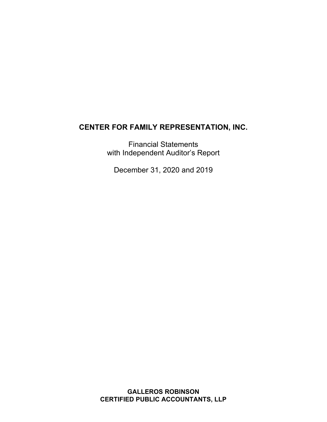Financial Statements with Independent Auditor's Report

December 31, 2020 and 2019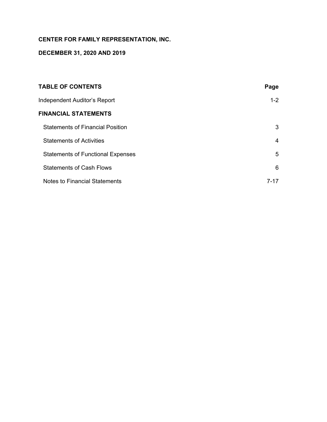# **DECEMBER 31, 2020 AND 2019**

| <b>TABLE OF CONTENTS</b>                 | Page    |
|------------------------------------------|---------|
| Independent Auditor's Report             | $1 - 2$ |
| <b>FINANCIAL STATEMENTS</b>              |         |
| <b>Statements of Financial Position</b>  | 3       |
| <b>Statements of Activities</b>          | 4       |
| <b>Statements of Functional Expenses</b> | 5       |
| <b>Statements of Cash Flows</b>          | 6       |
| Notes to Financial Statements            | 7-17    |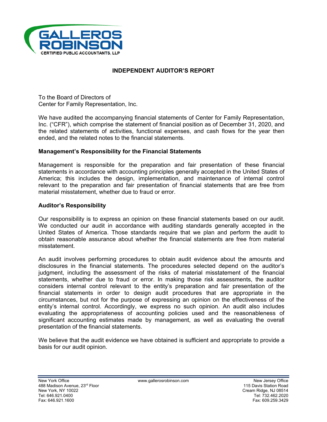

# **INDEPENDENT AUDITOR'S REPORT**

To the Board of Directors of Center for Family Representation, Inc.

We have audited the accompanying financial statements of Center for Family Representation, Inc. ("CFR"), which comprise the statement of financial position as of December 31, 2020, and the related statements of activities, functional expenses, and cash flows for the year then ended, and the related notes to the financial statements.

# **Management's Responsibility for the Financial Statements**

Management is responsible for the preparation and fair presentation of these financial statements in accordance with accounting principles generally accepted in the United States of America; this includes the design, implementation, and maintenance of internal control relevant to the preparation and fair presentation of financial statements that are free from material misstatement, whether due to fraud or error.

# **Auditor's Responsibility**

Our responsibility is to express an opinion on these financial statements based on our audit. We conducted our audit in accordance with auditing standards generally accepted in the United States of America. Those standards require that we plan and perform the audit to obtain reasonable assurance about whether the financial statements are free from material misstatement.

An audit involves performing procedures to obtain audit evidence about the amounts and disclosures in the financial statements. The procedures selected depend on the auditor's judgment, including the assessment of the risks of material misstatement of the financial statements, whether due to fraud or error. In making those risk assessments, the auditor considers internal control relevant to the entity's preparation and fair presentation of the financial statements in order to design audit procedures that are appropriate in the circumstances, but not for the purpose of expressing an opinion on the effectiveness of the entity's internal control. Accordingly, we express no such opinion. An audit also includes evaluating the appropriateness of accounting policies used and the reasonableness of significant accounting estimates made by management, as well as evaluating the overall presentation of the financial statements.

We believe that the audit evidence we have obtained is sufficient and appropriate to provide a basis for our audit opinion.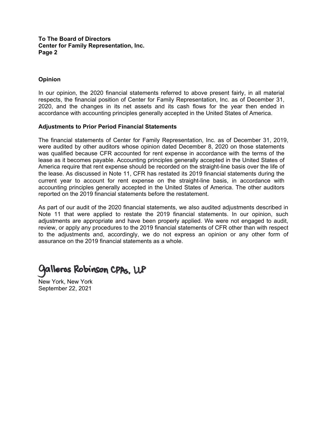#### **To The Board of Directors Center for Family Representation, Inc. Page 2**

# **Opinion**

In our opinion, the 2020 financial statements referred to above present fairly, in all material respects, the financial position of Center for Family Representation, Inc. as of December 31, 2020, and the changes in its net assets and its cash flows for the year then ended in accordance with accounting principles generally accepted in the United States of America.

#### **Adjustments to Prior Period Financial Statements**

The financial statements of Center for Family Representation, Inc. as of December 31, 2019, were audited by other auditors whose opinion dated December 8, 2020 on those statements was qualified because CFR accounted for rent expense in accordance with the terms of the lease as it becomes payable. Accounting principles generally accepted in the United States of America require that rent expense should be recorded on the straight-line basis over the life of the lease. As discussed in Note 11, CFR has restated its 2019 financial statements during the current year to account for rent expense on the straight-line basis, in accordance with accounting principles generally accepted in the United States of America. The other auditors reported on the 2019 financial statements before the restatement.

As part of our audit of the 2020 financial statements, we also audited adjustments described in Note 11 that were applied to restate the 2019 financial statements. In our opinion, such adjustments are appropriate and have been properly applied. We were not engaged to audit, review, or apply any procedures to the 2019 financial statements of CFR other than with respect to the adjustments and, accordingly, we do not express an opinion or any other form of assurance on the 2019 financial statements as a whole.

# Galleros Robinson CPAs, LLP

New York, New York September 22, 2021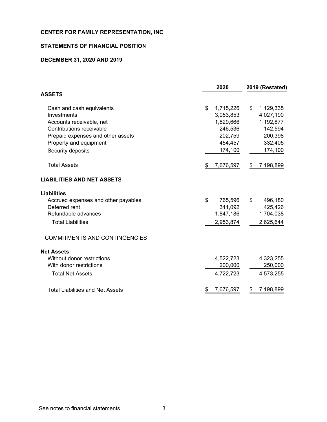# **STATEMENTS OF FINANCIAL POSITION**

# **DECEMBER 31, 2020 AND 2019**

| 2020            | 2019 (Restated)      |
|-----------------|----------------------|
|                 |                      |
| \$<br>1,715,226 | \$<br>1,129,335      |
| 3,053,853       | 4,027,190            |
| 1,829,666       | 1,192,877            |
| 246,536         | 142,594              |
| 202,759         | 200,398              |
| 454,457         | 332,405              |
| 174,100         | 174,100              |
| \$<br>7,676,597 | \$<br>7,198,899      |
|                 |                      |
|                 |                      |
| \$<br>765,596   | \$<br>496,180        |
|                 | 425,426              |
|                 | 1,704,038            |
| 2,953,874       | 2,625,644            |
|                 |                      |
|                 |                      |
| 4,522,723       | 4,323,255            |
| 200,000         | 250,000              |
| 4,722,723       | 4,573,255            |
| \$<br>7,676,597 | \$<br>7,198,899      |
|                 | 341,092<br>1,847,186 |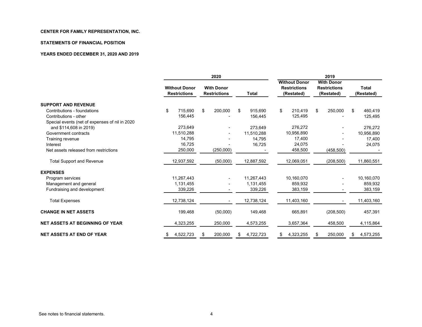#### **STATEMENTS OF FINANCIAL POSITION**

#### **YEARS ENDED DECEMBER 31, 2020 AND 2019**

|                                                 | 2020 |                                             |    |                                          |    | 2019         |    |                                                           |    |                                                        |    |                            |
|-------------------------------------------------|------|---------------------------------------------|----|------------------------------------------|----|--------------|----|-----------------------------------------------------------|----|--------------------------------------------------------|----|----------------------------|
|                                                 |      | <b>Without Donor</b><br><b>Restrictions</b> |    | <b>With Donor</b><br><b>Restrictions</b> |    | <b>Total</b> |    | <b>Without Donor</b><br><b>Restrictions</b><br>(Restated) |    | <b>With Donor</b><br><b>Restrictions</b><br>(Restated) |    | <b>Total</b><br>(Restated) |
| <b>SUPPORT AND REVENUE</b>                      |      |                                             |    |                                          |    |              |    |                                                           |    |                                                        |    |                            |
| Contributions - foundations                     | \$   | 715,690                                     | \$ | 200,000                                  | \$ | 915,690      | \$ | 210,419                                                   | \$ | 250,000                                                | \$ | 460,419                    |
| Contributions - other                           |      | 156,445                                     |    |                                          |    | 156,445      |    | 125,495                                                   |    |                                                        |    | 125,495                    |
| Special events (net of expenses of nil in 2020) |      |                                             |    |                                          |    |              |    |                                                           |    |                                                        |    |                            |
| and \$114,608 in 2019)                          |      | 273,649                                     |    |                                          |    | 273,649      |    | 276,272                                                   |    |                                                        |    | 276,272                    |
| Government contracts                            |      | 11,510,288                                  |    |                                          |    | 11,510,288   |    | 10,956,890                                                |    |                                                        |    | 10,956,890                 |
| Training revenue                                |      | 14,795                                      |    |                                          |    | 14,795       |    | 17,400                                                    |    |                                                        |    | 17,400                     |
| Interest                                        |      | 16,725                                      |    |                                          |    | 16,725       |    | 24,075                                                    |    |                                                        |    | 24,075                     |
| Net assets released from restrictions           |      | 250,000                                     |    | (250,000)                                |    |              |    | 458,500                                                   |    | (458, 500)                                             |    |                            |
| <b>Total Support and Revenue</b>                |      | 12,937,592                                  |    | (50,000)                                 |    | 12,887,592   |    | 12,069,051                                                |    | (208, 500)                                             |    | 11,860,551                 |
| <b>EXPENSES</b>                                 |      |                                             |    |                                          |    |              |    |                                                           |    |                                                        |    |                            |
| Program services                                |      | 11,267,443                                  |    |                                          |    | 11,267,443   |    | 10,160,070                                                |    |                                                        |    | 10,160,070                 |
| Management and general                          |      | 1,131,455                                   |    |                                          |    | 1,131,455    |    | 859.932                                                   |    |                                                        |    | 859,932                    |
| Fundraising and development                     |      | 339.226                                     |    |                                          |    | 339,226      |    | 383,159                                                   |    |                                                        |    | 383,159                    |
| <b>Total Expenses</b>                           |      | 12,738,124                                  |    |                                          |    | 12,738,124   |    | 11,403,160                                                |    |                                                        |    | 11,403,160                 |
| <b>CHANGE IN NET ASSETS</b>                     |      | 199,468                                     |    | (50,000)                                 |    | 149,468      |    | 665,891                                                   |    | (208, 500)                                             |    | 457,391                    |
| <b>NET ASSETS AT BEGINNING OF YEAR</b>          |      | 4,323,255                                   |    | 250,000                                  |    | 4,573,255    |    | 3,657,364                                                 |    | 458,500                                                |    | 4,115,864                  |
| <b>NET ASSETS AT END OF YEAR</b>                |      | 4,522,723                                   | \$ | 200,000                                  | \$ | 4,722,723    | \$ | 4,323,255                                                 | \$ | 250,000                                                | \$ | 4,573,255                  |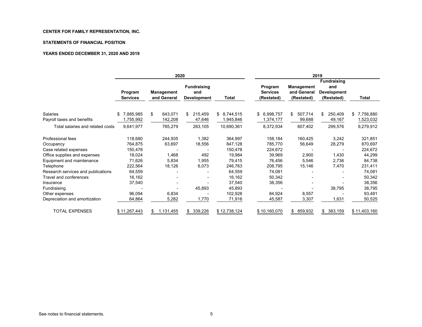#### **STATEMENTS OF FINANCIAL POSITION**

#### **YEARS ENDED DECEMBER 31, 2020 AND 2019**

|                                        |                            | 2020                             |                                                 |                         | 2019                                     |                                         |                                                               |                        |  |  |  |
|----------------------------------------|----------------------------|----------------------------------|-------------------------------------------------|-------------------------|------------------------------------------|-----------------------------------------|---------------------------------------------------------------|------------------------|--|--|--|
|                                        | Program<br><b>Services</b> | <b>Management</b><br>and General | <b>Fundraising</b><br>and<br><b>Development</b> | Total                   | Program<br><b>Services</b><br>(Restated) | Management<br>and General<br>(Restated) | <b>Fundraising</b><br>and<br><b>Development</b><br>(Restated) | Total                  |  |  |  |
| Salaries<br>Payroll taxes and benefits | 7,885,985<br>1,755,992     | \$<br>643,071<br>142,208         | 215,459<br>\$.<br>47,646                        | \$8,744,515<br>945,846, | 6,998,757<br>\$<br>1,374,177             | 507,714<br>\$<br>99,688                 | 250,409<br>\$<br>49,167                                       | 7,756,880<br>1,523,032 |  |  |  |
| Total salaries and related costs       | 9,641,977                  | 785,279                          | 263,105                                         | 10,690,361              | 8,372,934                                | 607,402                                 | 299,576                                                       | 9,279,912              |  |  |  |
| Professional fees                      | 118,680                    | 244,935                          | 1,382                                           | 364,997                 | 158,184                                  | 160,425                                 | 3,242                                                         | 321,851                |  |  |  |
| Occupancy                              | 764,875                    | 63,697                           | 18,556                                          | 847,128                 | 785,770                                  | 56,649                                  | 28,279                                                        | 870,697                |  |  |  |
| Case related expenses                  | 150,478                    |                                  |                                                 | 150,478                 | 224,672                                  |                                         |                                                               | 224,672                |  |  |  |
| Office supplies and expenses           | 18,024                     | 1,468                            | 492                                             | 19,984                  | 39,969                                   | 2,900                                   | 1,430                                                         | 44,299                 |  |  |  |
| Equipment and maintenance              | 71,626                     | 5,834                            | 1,955                                           | 79,415                  | 76,456                                   | 5,546                                   | 2,736                                                         | 84,738                 |  |  |  |
| Telephone                              | 222,564                    | 18,126                           | 6,073                                           | 246,763                 | 208,795                                  | 15,146                                  | 7,470                                                         | 231,411                |  |  |  |
| Research services and publications     | 64,559                     |                                  |                                                 | 64,559                  | 74,081                                   |                                         |                                                               | 74,081                 |  |  |  |
| Travel and conferences                 | 16,162                     |                                  | ٠                                               | 16,162                  | 50,342                                   |                                         |                                                               | 50,342                 |  |  |  |
| Insurance                              | 37,540                     |                                  |                                                 | 37,540                  | 38,356                                   |                                         |                                                               | 38,356                 |  |  |  |
| Fundraising                            |                            |                                  | 45,893                                          | 45,893                  |                                          |                                         | 38,795                                                        | 38,795                 |  |  |  |
| Other expenses                         | 96,094                     | 6,834                            |                                                 | 102,928                 | 84,924                                   | 8,557                                   |                                                               | 93,481                 |  |  |  |
| Depreciation and amortization          | 64,864                     | 5,282                            | 1,770                                           | 71,916                  | 45,587                                   | 3,307                                   | 1,631                                                         | 50,525                 |  |  |  |
| <b>TOTAL EXPENSES</b>                  | \$11,267,443               | 1,131,455<br>\$                  | 339,226<br>\$                                   | \$12,738,124            | \$10,160,070                             | 859,932<br>\$                           | 383,159<br>\$                                                 | \$11,403,160           |  |  |  |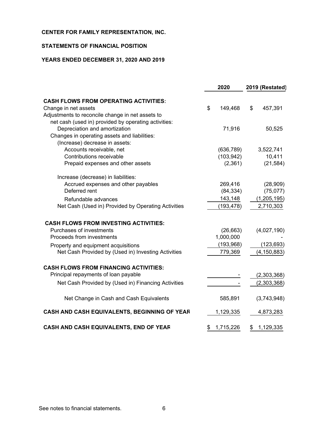# **STATEMENTS OF FINANCIAL POSITION**

# **YEARS ENDED DECEMBER 31, 2020 AND 2019**

|                                                      | 2020            | 2019 (Restated) |               |  |
|------------------------------------------------------|-----------------|-----------------|---------------|--|
| <b>CASH FLOWS FROM OPERATING ACTIVITIES:</b>         |                 |                 |               |  |
| Change in net assets                                 | \$<br>149,468   | \$              | 457,391       |  |
| Adjustments to reconcile change in net assets to     |                 |                 |               |  |
| net cash (used in) provided by operating activities: |                 |                 |               |  |
| Depreciation and amortization                        | 71,916          |                 | 50,525        |  |
| Changes in operating assets and liabilities:         |                 |                 |               |  |
| (Increase) decrease in assets:                       |                 |                 |               |  |
| Accounts receivable, net                             | (636, 789)      |                 | 3,522,741     |  |
| Contributions receivable                             | (103, 942)      |                 | 10,411        |  |
| Prepaid expenses and other assets                    | (2,361)         |                 | (21, 584)     |  |
| Increase (decrease) in liabilities:                  |                 |                 |               |  |
| Accrued expenses and other payables                  | 269,416         |                 | (28,909)      |  |
| Deferred rent                                        | (84, 334)       |                 | (75,077)      |  |
| Refundable advances                                  | 143,148         |                 | (1, 205, 195) |  |
| Net Cash (Used in) Provided by Operating Activities  | (193, 478)      |                 | 2,710,303     |  |
| <b>CASH FLOWS FROM INVESTING ACTIVITIES:</b>         |                 |                 |               |  |
| Purchases of investments                             | (26, 663)       |                 | (4,027,190)   |  |
| Proceeds from investments                            | 1,000,000       |                 |               |  |
| Property and equipment acquisitions                  | (193, 968)      |                 | (123, 693)    |  |
| Net Cash Provided by (Used in) Investing Activities  | 779,369         |                 | (4, 150, 883) |  |
| <b>CASH FLOWS FROM FINANCING ACTIVITIES:</b>         |                 |                 |               |  |
| Principal repayments of loan payable                 |                 |                 |               |  |
|                                                      |                 |                 | (2,303,368)   |  |
| Net Cash Provided by (Used in) Financing Activities  |                 |                 | (2,303,368)   |  |
| Net Change in Cash and Cash Equivalents              | 585,891         |                 | (3,743,948)   |  |
| CASH AND CASH EQUIVALENTS, BEGINNING OF YEAR         | 1,129,335       |                 | 4,873,283     |  |
| CASH AND CASH EQUIVALENTS, END OF YEAR               | \$<br>1,715,226 | \$              | 1,129,335     |  |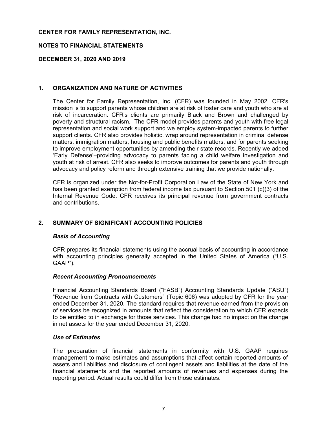# **NOTES TO FINANCIAL STATEMENTS**

# **DECEMBER 31, 2020 AND 2019**

# **1. ORGANIZATION AND NATURE OF ACTIVITIES**

The Center for Family Representation, Inc. (CFR) was founded in May 2002. CFR's mission is to support parents whose children are at risk of foster care and youth who are at risk of incarceration. CFR's clients are primarily Black and Brown and challenged by poverty and structural racism. The CFR model provides parents and youth with free legal representation and social work support and we employ system-impacted parents to further support clients. CFR also provides holistic, wrap around representation in criminal defense matters, immigration matters, housing and public benefits matters, and for parents seeking to improve employment opportunities by amending their state records. Recently we added 'Early Defense'–providing advocacy to parents facing a child welfare investigation and youth at risk of arrest. CFR also seeks to improve outcomes for parents and youth through advocacy and policy reform and through extensive training that we provide nationally.

CFR is organized under the Not-for-Profit Corporation Law of the State of New York and has been granted exemption from federal income tax pursuant to Section 501 (c)(3) of the Internal Revenue Code. CFR receives its principal revenue from government contracts and contributions.

# **2. SUMMARY OF SIGNIFICANT ACCOUNTING POLICIES**

# *Basis of Accounting*

CFR prepares its financial statements using the accrual basis of accounting in accordance with accounting principles generally accepted in the United States of America ("U.S. GAAP").

# *Recent Accounting Pronouncements*

Financial Accounting Standards Board ("FASB") Accounting Standards Update ("ASU") "Revenue from Contracts with Customers" (Topic 606) was adopted by CFR for the year ended December 31, 2020. The standard requires that revenue earned from the provision of services be recognized in amounts that reflect the consideration to which CFR expects to be entitled to in exchange for those services. This change had no impact on the change in net assets for the year ended December 31, 2020.

# *Use of Estimates*

The preparation of financial statements in conformity with U.S. GAAP requires management to make estimates and assumptions that affect certain reported amounts of assets and liabilities and disclosure of contingent assets and liabilities at the date of the financial statements and the reported amounts of revenues and expenses during the reporting period. Actual results could differ from those estimates.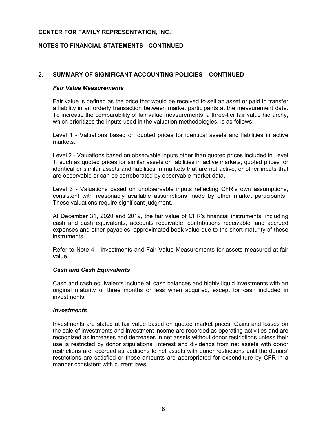# **NOTES TO FINANCIAL STATEMENTS - CONTINUED**

# **2. SUMMARY OF SIGNIFICANT ACCOUNTING POLICIES – CONTINUED**

#### *Fair Value Measurements*

Fair value is defined as the price that would be received to sell an asset or paid to transfer a liability in an orderly transaction between market participants at the measurement date. To increase the comparability of fair value measurements, a three-tier fair value hierarchy, which prioritizes the inputs used in the valuation methodologies, is as follows:

Level 1 - Valuations based on quoted prices for identical assets and liabilities in active markets.

Level 2 - Valuations based on observable inputs other than quoted prices included in Level 1, such as quoted prices for similar assets or liabilities in active markets, quoted prices for identical or similar assets and liabilities in markets that are not active, or other inputs that are observable or can be corroborated by observable market data.

Level 3 - Valuations based on unobservable inputs reflecting CFR's own assumptions, consistent with reasonably available assumptions made by other market participants. These valuations require significant judgment.

At December 31, 2020 and 2019, the fair value of CFR's financial instruments, including cash and cash equivalents, accounts receivable, contributions receivable, and accrued expenses and other payables, approximated book value due to the short maturity of these instruments.

Refer to Note 4 - Investments and Fair Value Measurements for assets measured at fair value.

#### *Cash and Cash Equivalents*

Cash and cash equivalents include all cash balances and highly liquid investments with an original maturity of three months or less when acquired, except for cash included in investments.

#### *Investments*

Investments are stated at fair value based on quoted market prices. Gains and losses on the sale of investments and investment income are recorded as operating activities and are recognized as increases and decreases in net assets without donor restrictions unless their use is restricted by donor stipulations. Interest and dividends from net assets with donor restrictions are recorded as additions to net assets with donor restrictions until the donors' restrictions are satisfied or those amounts are appropriated for expenditure by CFR in a manner consistent with current laws.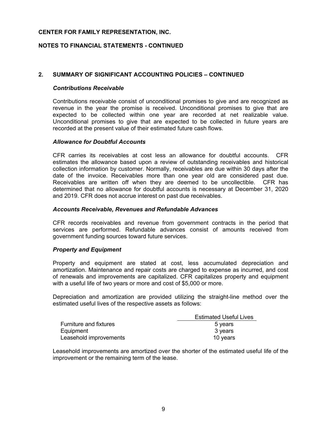# **NOTES TO FINANCIAL STATEMENTS - CONTINUED**

# **2. SUMMARY OF SIGNIFICANT ACCOUNTING POLICIES – CONTINUED**

#### *Contributions Receivable*

Contributions receivable consist of unconditional promises to give and are recognized as revenue in the year the promise is received. Unconditional promises to give that are expected to be collected within one year are recorded at net realizable value. Unconditional promises to give that are expected to be collected in future years are recorded at the present value of their estimated future cash flows.

# *Allowance for Doubtful Accounts*

CFR carries its receivables at cost less an allowance for doubtful accounts. CFR estimates the allowance based upon a review of outstanding receivables and historical collection information by customer. Normally, receivables are due within 30 days after the date of the invoice. Receivables more than one year old are considered past due. Receivables are written off when they are deemed to be uncollectible. CFR has determined that no allowance for doubtful accounts is necessary at December 31, 2020 and 2019. CFR does not accrue interest on past due receivables.

#### *Accounts Receivable, Revenues and Refundable Advances*

CFR records receivables and revenue from government contracts in the period that services are performed. Refundable advances consist of amounts received from government funding sources toward future services.

#### *Property and Equipment*

Property and equipment are stated at cost, less accumulated depreciation and amortization. Maintenance and repair costs are charged to expense as incurred, and cost of renewals and improvements are capitalized. CFR capitalizes property and equipment with a useful life of two years or more and cost of \$5,000 or more.

Depreciation and amortization are provided utilizing the straight-line method over the estimated useful lives of the respective assets as follows:

|                               | <b>Estimated Useful Lives</b> |
|-------------------------------|-------------------------------|
| <b>Furniture and fixtures</b> | 5 vears                       |
| Equipment                     | 3 years                       |
| Leasehold improvements        | 10 years                      |

Leasehold improvements are amortized over the shorter of the estimated useful life of the improvement or the remaining term of the lease.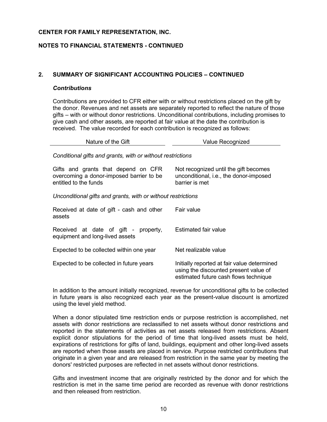# **NOTES TO FINANCIAL STATEMENTS - CONTINUED**

# **2. SUMMARY OF SIGNIFICANT ACCOUNTING POLICIES – CONTINUED**

#### *Contributions*

Contributions are provided to CFR either with or without restrictions placed on the gift by the donor. Revenues and net assets are separately reported to reflect the nature of those gifts – with or without donor restrictions. Unconditional contributions, including promises to give cash and other assets, are reported at fair value at the date the contribution is received. The value recorded for each contribution is recognized as follows:

| Nature of the Gift                                                                                       | Value Recognized                                                                                                              |
|----------------------------------------------------------------------------------------------------------|-------------------------------------------------------------------------------------------------------------------------------|
| Conditional gifts and grants, with or without restrictions                                               |                                                                                                                               |
| Gifts and grants that depend on CFR<br>overcoming a donor-imposed barrier to be<br>entitled to the funds | Not recognized until the gift becomes<br>unconditional, i.e., the donor-imposed<br>barrier is met                             |
| Unconditional gifts and grants, with or without restrictions                                             |                                                                                                                               |
| Received at date of gift - cash and other<br>assets                                                      | Fair value                                                                                                                    |
| Received at date of gift - property,<br>equipment and long-lived assets                                  | Estimated fair value                                                                                                          |
| Expected to be collected within one year                                                                 | Net realizable value                                                                                                          |
| Expected to be collected in future years                                                                 | Initially reported at fair value determined<br>using the discounted present value of<br>estimated future cash flows technique |

In addition to the amount initially recognized, revenue for unconditional gifts to be collected in future years is also recognized each year as the present-value discount is amortized using the level yield method.

When a donor stipulated time restriction ends or purpose restriction is accomplished, net assets with donor restrictions are reclassified to net assets without donor restrictions and reported in the statements of activities as net assets released from restrictions. Absent explicit donor stipulations for the period of time that long-lived assets must be held, expirations of restrictions for gifts of land, buildings, equipment and other long-lived assets are reported when those assets are placed in service. Purpose restricted contributions that originate in a given year and are released from restriction in the same year by meeting the donors' restricted purposes are reflected in net assets without donor restrictions.

Gifts and investment income that are originally restricted by the donor and for which the restriction is met in the same time period are recorded as revenue with donor restrictions and then released from restriction.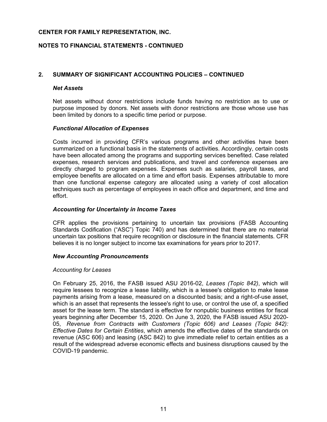# **NOTES TO FINANCIAL STATEMENTS - CONTINUED**

# **2. SUMMARY OF SIGNIFICANT ACCOUNTING POLICIES – CONTINUED**

#### *Net Assets*

Net assets without donor restrictions include funds having no restriction as to use or purpose imposed by donors. Net assets with donor restrictions are those whose use has been limited by donors to a specific time period or purpose.

#### *Functional Allocation of Expenses*

Costs incurred in providing CFR's various programs and other activities have been summarized on a functional basis in the statements of activities. Accordingly, certain costs have been allocated among the programs and supporting services benefited. Case related expenses, research services and publications, and travel and conference expenses are directly charged to program expenses. Expenses such as salaries, payroll taxes, and employee benefits are allocated on a time and effort basis. Expenses attributable to more than one functional expense category are allocated using a variety of cost allocation techniques such as percentage of employees in each office and department, and time and effort.

#### *Accounting for Uncertainty in Income Taxes*

CFR applies the provisions pertaining to uncertain tax provisions (FASB Accounting Standards Codification ("ASC") Topic 740) and has determined that there are no material uncertain tax positions that require recognition or disclosure in the financial statements. CFR believes it is no longer subject to income tax examinations for years prior to 2017.

#### *New Accounting Pronouncements*

#### *Accounting for Leases*

On February 25, 2016, the FASB issued ASU 2016-02, *Leases (Topic 842)*, which will require lessees to recognize a lease liability, which is a lessee's obligation to make lease payments arising from a lease, measured on a discounted basis; and a right-of-use asset, which is an asset that represents the lessee's right to use, or control the use of, a specified asset for the lease term. The standard is effective for nonpublic business entities for fiscal years beginning after December 15, 2020. On June 3, 2020, the FASB issued ASU 2020- 05, *Revenue from Contracts with Customers (Topic 606) and Leases (Topic 842): Effective Dates for Certain Entities*, which amends the effective dates of the standards on revenue (ASC 606) and leasing (ASC 842) to give immediate relief to certain entities as a result of the widespread adverse economic effects and business disruptions caused by the COVID-19 pandemic.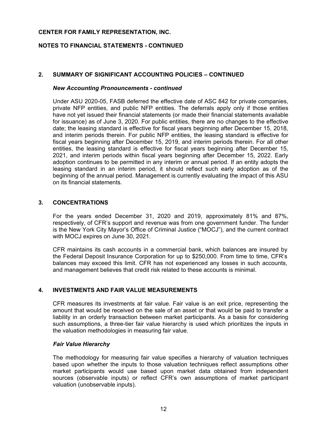# **NOTES TO FINANCIAL STATEMENTS - CONTINUED**

# **2. SUMMARY OF SIGNIFICANT ACCOUNTING POLICIES – CONTINUED**

#### *New Accounting Pronouncements - continued*

Under ASU 2020-05, FASB deferred the effective date of ASC 842 for private companies, private NFP entities, and public NFP entities. The deferrals apply only if those entities have not yet issued their financial statements (or made their financial statements available for issuance) as of June 3, 2020. For public entities, there are no changes to the effective date; the leasing standard is effective for fiscal years beginning after December 15, 2018, and interim periods therein. For public NFP entities, the leasing standard is effective for fiscal years beginning after December 15, 2019, and interim periods therein. For all other entities, the leasing standard is effective for fiscal years beginning after December 15, 2021, and interim periods within fiscal years beginning after December 15, 2022. Early adoption continues to be permitted in any interim or annual period. If an entity adopts the leasing standard in an interim period, it should reflect such early adoption as of the beginning of the annual period. Management is currently evaluating the impact of this ASU on its financial statements.

# **3. CONCENTRATIONS**

For the years ended December 31, 2020 and 2019, approximately 81% and 87%, respectively, of CFR's support and revenue was from one government funder. The funder is the New York City Mayor's Office of Criminal Justice ("MOCJ"), and the current contract with MOCJ expires on June 30, 2021.

CFR maintains its cash accounts in a commercial bank, which balances are insured by the Federal Deposit Insurance Corporation for up to \$250,000. From time to time, CFR's balances may exceed this limit. CFR has not experienced any losses in such accounts, and management believes that credit risk related to these accounts is minimal.

#### **4. INVESTMENTS AND FAIR VALUE MEASUREMENTS**

CFR measures its investments at fair value. Fair value is an exit price, representing the amount that would be received on the sale of an asset or that would be paid to transfer a liability in an orderly transaction between market participants. As a basis for considering such assumptions, a three-tier fair value hierarchy is used which prioritizes the inputs in the valuation methodologies in measuring fair value.

#### *Fair Value Hierarchy*

The methodology for measuring fair value specifies a hierarchy of valuation techniques based upon whether the inputs to those valuation techniques reflect assumptions other market participants would use based upon market data obtained from independent sources (observable inputs) or reflect CFR's own assumptions of market participant valuation (unobservable inputs).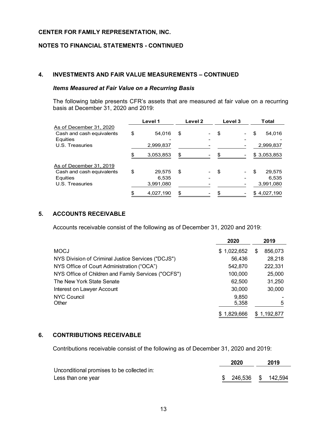# **NOTES TO FINANCIAL STATEMENTS - CONTINUED**

# **4. INVESTMENTS AND FAIR VALUE MEASUREMENTS – CONTINUED**

# *Items Measured at Fair Value on a Recurring Basis*

The following table presents CFR's assets that are measured at fair value on a recurring basis at December 31, 2020 and 2019:

|                           | Level 1      |    | Level 2 | Level 3 | <b>Total</b> |
|---------------------------|--------------|----|---------|---------|--------------|
| As of December 31, 2020   |              |    |         |         |              |
| Cash and cash equivalents | \$<br>54,016 | \$ |         | \$      | \$<br>54,016 |
| Equities                  |              |    |         |         |              |
| U.S. Treasuries           | 2,999,837    |    |         |         | 2,999,837    |
|                           | 3,053,853    | S  |         |         | \$3,053,853  |
| As of December 31, 2019   |              |    |         |         |              |
| Cash and cash equivalents | \$<br>29,575 | \$ |         | \$      | \$<br>29,575 |
| Equities                  | 6,535        |    |         |         | 6,535        |
| U.S. Treasuries           | 3,991,080    |    |         |         | 3,991,080    |
|                           | 4,027,190    |    |         |         | \$4,027,190  |

# **5. ACCOUNTS RECEIVABLE**

Accounts receivable consist of the following as of December 31, 2020 and 2019:

|                                                     | 2020        |   | 2019        |
|-----------------------------------------------------|-------------|---|-------------|
| <b>MOCJ</b>                                         | \$1,022,652 | S | 856,073     |
| NYS Division of Criminal Justice Services ("DCJS")  | 56,436      |   | 28,218      |
| NYS Office of Court Administration ("OCA")          | 542.870     |   | 222,331     |
| NYS Office of Children and Family Services ("OCFS") | 100,000     |   | 25,000      |
| The New York State Senate                           | 62,500      |   | 31,250      |
| Interest on Lawyer Account                          | 30,000      |   | 30,000      |
| NYC Council                                         | 9,850       |   |             |
| Other                                               | 5,358       |   | 5           |
|                                                     | \$1,829,666 |   | \$1,192,877 |

# **6. CONTRIBUTIONS RECEIVABLE**

Contributions receivable consist of the following as of December 31, 2020 and 2019:

|                                            | 2020                  | 2019 |
|--------------------------------------------|-----------------------|------|
| Unconditional promises to be collected in: |                       |      |
| Less than one year                         | \$ 246,536 \$ 142,594 |      |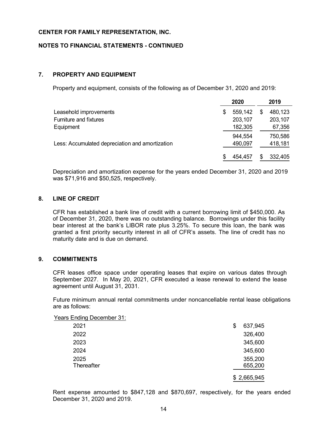# **NOTES TO FINANCIAL STATEMENTS - CONTINUED**

# **7. PROPERTY AND EQUIPMENT**

Property and equipment, consists of the following as of December 31, 2020 and 2019:

|                                                 | 2020          | 2019    |
|-------------------------------------------------|---------------|---------|
| Leasehold improvements                          | \$<br>559,142 | 480,123 |
| <b>Furniture and fixtures</b>                   | 203,107       | 203,107 |
| Equipment                                       | 182,305       | 67,356  |
|                                                 | 944,554       | 750,586 |
| Less: Accumulated depreciation and amortization | 490,097       | 418,181 |
|                                                 | 454,457       | 332,405 |

Depreciation and amortization expense for the years ended December 31, 2020 and 2019 was \$71,916 and \$50,525, respectively.

#### **8. LINE OF CREDIT**

CFR has established a bank line of credit with a current borrowing limit of \$450,000. As of December 31, 2020, there was no outstanding balance. Borrowings under this facility bear interest at the bank's LIBOR rate plus 3.25%. To secure this loan, the bank was granted a first priority security interest in all of CFR's assets. The line of credit has no maturity date and is due on demand.

# **9. COMMITMENTS**

CFR leases office space under operating leases that expire on various dates through September 2027. In May 20, 2021, CFR executed a lease renewal to extend the lease agreement until August 31, 2031.

Future minimum annual rental commitments under noncancellable rental lease obligations are as follows:

| <b>Years Ending December 31:</b> |               |  |
|----------------------------------|---------------|--|
| 2021                             | 637,945<br>\$ |  |
| 2022                             | 326,400       |  |
| 2023                             | 345,600       |  |
| 2024                             | 345,600       |  |
| 2025                             | 355,200       |  |
| Thereafter                       | 655,200       |  |
|                                  | \$2,665,945   |  |

Rent expense amounted to \$847,128 and \$870,697, respectively, for the years ended December 31, 2020 and 2019.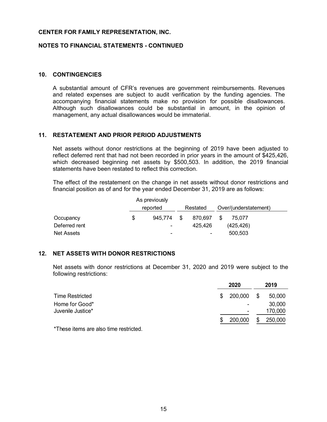#### **NOTES TO FINANCIAL STATEMENTS - CONTINUED**

#### **10. CONTINGENCIES**

A substantial amount of CFR's revenues are government reimbursements. Revenues and related expenses are subject to audit verification by the funding agencies. The accompanying financial statements make no provision for possible disallowances. Although such disallowances could be substantial in amount, in the opinion of management, any actual disallowances would be immaterial.

# **11. RESTATEMENT AND PRIOR PERIOD ADJUSTMENTS**

Net assets without donor restrictions at the beginning of 2019 have been adjusted to reflect deferred rent that had not been recorded in prior years in the amount of \$425,426, which decreased beginning net assets by \$500,503. In addition, the 2019 financial statements have been restated to reflect this correction.

The effect of the restatement on the change in net assets without donor restrictions and financial position as of and for the year ended December 31, 2019 are as follows:

|               |          | As previously |          |         |                       |            |
|---------------|----------|---------------|----------|---------|-----------------------|------------|
|               | reported |               | Restated |         | Over/(understatement) |            |
| Occupancy     | \$       | 945.774       | S        | 870.697 | S                     | 75.077     |
| Deferred rent |          | -             |          | 425.426 |                       | (425, 426) |
| Net Assets    |          | -             |          | ۰       |                       | 500,503    |

#### **12. NET ASSETS WITH DONOR RESTRICTIONS**

Net assets with donor restrictions at December 31, 2020 and 2019 were subject to the following restrictions:

|                                     | 2020          | 2019                   |
|-------------------------------------|---------------|------------------------|
| <b>Time Restricted</b>              | 200,000<br>\$ | 50,000<br>\$           |
| Home for Good*<br>Juvenile Justice* |               | 30,000<br>۰<br>170,000 |
|                                     |               | $\blacksquare$         |
| $+ - +$<br>.                        | 200,000       | 250,000<br>S           |

\*These items are also time restricted.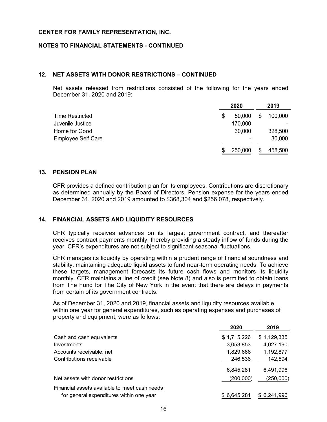#### **NOTES TO FINANCIAL STATEMENTS - CONTINUED**

#### **12. NET ASSETS WITH DONOR RESTRICTIONS – CONTINUED**

Net assets released from restrictions consisted of the following for the years ended December 31, 2020 and 2019:

|                           |   | 2020                     |    | 2019    |
|---------------------------|---|--------------------------|----|---------|
| Time Restricted           | S | 50,000                   | S  | 100,000 |
| Juvenile Justice          |   | 170,000                  |    |         |
| Home for Good             |   | 30,000                   |    | 328,500 |
| <b>Employee Self Care</b> |   | $\overline{\phantom{a}}$ |    | 30,000  |
|                           | S | 250,000                  | \$ | 458,500 |

#### **13. PENSION PLAN**

CFR provides a defined contribution plan for its employees. Contributions are discretionary as determined annually by the Board of Directors. Pension expense for the years ended December 31, 2020 and 2019 amounted to \$368,304 and \$256,078, respectively.

#### **14. FINANCIAL ASSETS AND LIQUIDITY RESOURCES**

CFR typically receives advances on its largest government contract, and thereafter receives contract payments monthly, thereby providing a steady inflow of funds during the year. CFR's expenditures are not subject to significant seasonal fluctuations.

CFR manages its liquidity by operating within a prudent range of financial soundness and stability, maintaining adequate liquid assets to fund near-term operating needs. To achieve these targets, management forecasts its future cash flows and monitors its liquidity monthly. CFR maintains a line of credit (see Note 8) and also is permitted to obtain loans from The Fund for The City of New York in the event that there are delays in payments from certain of its government contracts.

As of December 31, 2020 and 2019, financial assets and liquidity resources available within one year for general expenditures, such as operating expenses and purchases of property and equipment, were as follows:

|                                               | 2020        | 2019        |
|-----------------------------------------------|-------------|-------------|
| Cash and cash equivalents                     | \$1,715,226 | \$1,129,335 |
| Investments                                   | 3,053,853   | 4,027,190   |
| Accounts receivable, net                      | 1,829,666   | 1,192,877   |
| Contributions receivable                      | 246,536     | 142,594     |
|                                               | 6,845,281   | 6,491,996   |
| Net assets with donor restrictions            | (200,000)   | (250,000)   |
| Financial assets available to meet cash needs |             |             |
| for general expenditures within one year      | \$6,645,281 | \$6,241,996 |